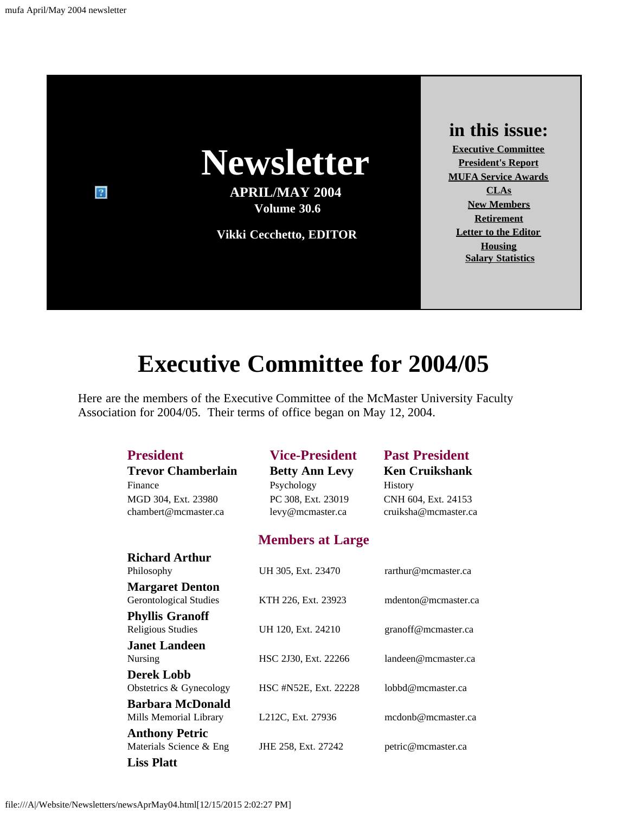

# **Executive Committee for 2004/05**

<span id="page-0-0"></span>Here are the members of the Executive Committee of the McMaster University Faculty Association for 2004/05. Their terms of office began on May 12, 2004.

| <b>President</b><br><b>Trevor Chamberlain</b><br>Finance<br>MGD 304, Ext. 23980<br>chambert@mcmaster.ca | <b>Vice-President</b><br><b>Betty Ann Levy</b><br>Psychology<br>PC 308, Ext. 23019<br>levy@mcmaster.ca | <b>Past President</b><br><b>Ken Cruikshank</b><br><b>History</b><br>CNH 604, Ext. 24153<br>cruiksha@mcmaster.ca |
|---------------------------------------------------------------------------------------------------------|--------------------------------------------------------------------------------------------------------|-----------------------------------------------------------------------------------------------------------------|
|                                                                                                         | <b>Members at Large</b>                                                                                |                                                                                                                 |
| <b>Richard Arthur</b><br>Philosophy                                                                     | UH 305, Ext. 23470                                                                                     | rarthur@mcmaster.ca                                                                                             |
| <b>Margaret Denton</b><br><b>Gerontological Studies</b>                                                 | KTH 226, Ext. 23923                                                                                    | mdenton@mcmaster.ca                                                                                             |
| <b>Phyllis Granoff</b><br><b>Religious Studies</b>                                                      | UH 120, Ext. 24210                                                                                     | granoff@mcmaster.ca                                                                                             |
| <b>Janet Landeen</b><br><b>Nursing</b>                                                                  | HSC 2J30, Ext. 22266                                                                                   | landeen@mcmaster.ca                                                                                             |
| <b>Derek Lobb</b><br>Obstetrics & Gynecology                                                            | HSC #N52E, Ext. 22228                                                                                  | lobbd@mcmaster.ca                                                                                               |
| <b>Barbara McDonald</b><br>Mills Memorial Library                                                       | L212C, Ext. 27936                                                                                      | mcdonb@mcmaster.ca                                                                                              |
| <b>Anthony Petric</b><br>Materials Science & Eng                                                        | JHE 258, Ext. 27242                                                                                    | petric@mcmaster.ca                                                                                              |
| <b>Liss Platt</b>                                                                                       |                                                                                                        |                                                                                                                 |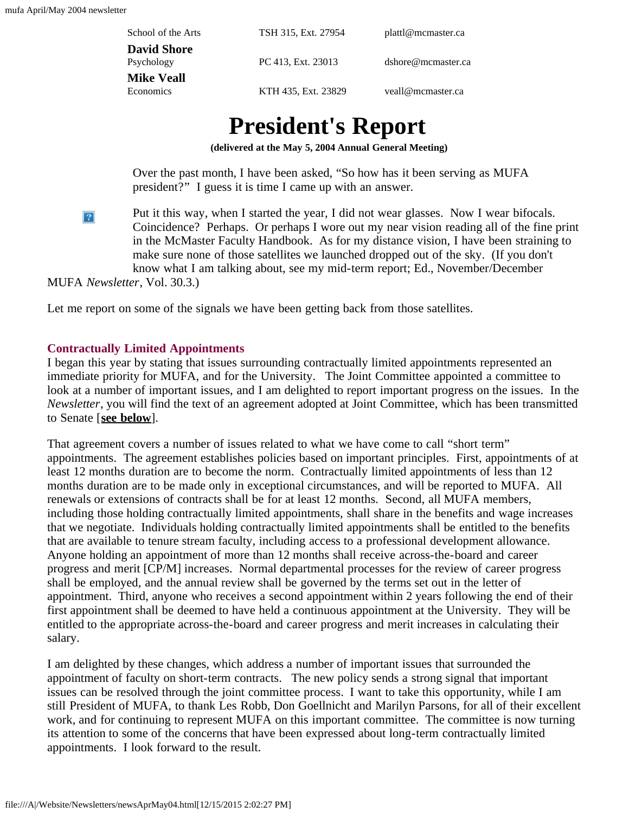| School of the Arts | TSH 315, Ext. 27954 | plattl@mcmaster.ca |
|--------------------|---------------------|--------------------|
| <b>David Shore</b> |                     |                    |
| Psychology         | PC 413, Ext. 23013  | dshore@mcmaster.ca |
| <b>Mike Veall</b>  |                     |                    |
| <b>Economics</b>   | KTH 435, Ext. 23829 | veall@mcmaster.ca  |
|                    |                     |                    |

# **President's Report**

**(delivered at the May 5, 2004 Annual General Meeting)**

Over the past month, I have been asked, "So how has it been serving as MUFA president?" I guess it is time I came up with an answer.

<span id="page-1-0"></span>Put it this way, when I started the year, I did not wear glasses. Now I wear bifocals.  $|2|$ Coincidence? Perhaps. Or perhaps I wore out my near vision reading all of the fine print in the McMaster Faculty Handbook. As for my distance vision, I have been straining to make sure none of those satellites we launched dropped out of the sky. (If you don't know what I am talking about, see my mid-term report; Ed., November/December

MUFA *Newsletter*, Vol. 30.3.)

Let me report on some of the signals we have been getting back from those satellites.

### **Contractually Limited Appointments**

I began this year by stating that issues surrounding contractually limited appointments represented an immediate priority for MUFA, and for the University. The Joint Committee appointed a committee to look at a number of important issues, and I am delighted to report important progress on the issues. In the *Newsletter*, you will find the text of an agreement adopted at Joint Committee, which has been transmitted to Senate [**[see below](#page-5-0)**].

That agreement covers a number of issues related to what we have come to call "short term" appointments. The agreement establishes policies based on important principles. First, appointments of at least 12 months duration are to become the norm. Contractually limited appointments of less than 12 months duration are to be made only in exceptional circumstances, and will be reported to MUFA. All renewals or extensions of contracts shall be for at least 12 months. Second, all MUFA members, including those holding contractually limited appointments, shall share in the benefits and wage increases that we negotiate. Individuals holding contractually limited appointments shall be entitled to the benefits that are available to tenure stream faculty, including access to a professional development allowance. Anyone holding an appointment of more than 12 months shall receive across-the-board and career progress and merit [CP/M] increases. Normal departmental processes for the review of career progress shall be employed, and the annual review shall be governed by the terms set out in the letter of appointment. Third, anyone who receives a second appointment within 2 years following the end of their first appointment shall be deemed to have held a continuous appointment at the University. They will be entitled to the appropriate across-the-board and career progress and merit increases in calculating their salary.

I am delighted by these changes, which address a number of important issues that surrounded the appointment of faculty on short-term contracts. The new policy sends a strong signal that important issues can be resolved through the joint committee process. I want to take this opportunity, while I am still President of MUFA, to thank Les Robb, Don Goellnicht and Marilyn Parsons, for all of their excellent work, and for continuing to represent MUFA on this important committee. The committee is now turning its attention to some of the concerns that have been expressed about long-term contractually limited appointments. I look forward to the result.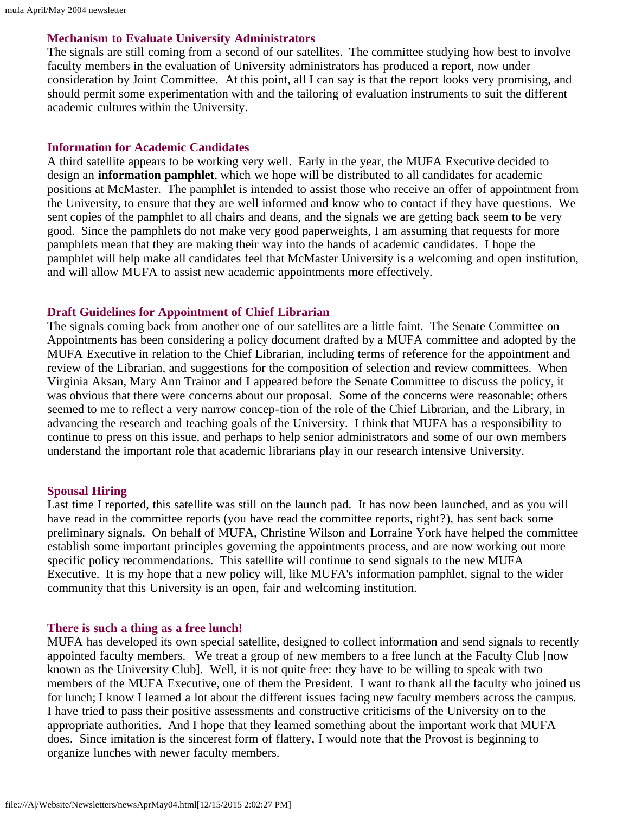### **Mechanism to Evaluate University Administrators**

The signals are still coming from a second of our satellites. The committee studying how best to involve faculty members in the evaluation of University administrators has produced a report, now under consideration by Joint Committee. At this point, all I can say is that the report looks very promising, and should permit some experimentation with and the tailoring of evaluation instruments to suit the different academic cultures within the University.

### **Information for Academic Candidates**

A third satellite appears to be working very well. Early in the year, the MUFA Executive decided to design an **[information pamphlet](file:///A|/Website/Newsletters/candidates.html)**, which we hope will be distributed to all candidates for academic positions at McMaster. The pamphlet is intended to assist those who receive an offer of appointment from the University, to ensure that they are well informed and know who to contact if they have questions. We sent copies of the pamphlet to all chairs and deans, and the signals we are getting back seem to be very good. Since the pamphlets do not make very good paperweights, I am assuming that requests for more pamphlets mean that they are making their way into the hands of academic candidates. I hope the pamphlet will help make all candidates feel that McMaster University is a welcoming and open institution, and will allow MUFA to assist new academic appointments more effectively.

### **Draft Guidelines for Appointment of Chief Librarian**

The signals coming back from another one of our satellites are a little faint. The Senate Committee on Appointments has been considering a policy document drafted by a MUFA committee and adopted by the MUFA Executive in relation to the Chief Librarian, including terms of reference for the appointment and review of the Librarian, and suggestions for the composition of selection and review committees. When Virginia Aksan, Mary Ann Trainor and I appeared before the Senate Committee to discuss the policy, it was obvious that there were concerns about our proposal. Some of the concerns were reasonable; others seemed to me to reflect a very narrow concep-tion of the role of the Chief Librarian, and the Library, in advancing the research and teaching goals of the University. I think that MUFA has a responsibility to continue to press on this issue, and perhaps to help senior administrators and some of our own members understand the important role that academic librarians play in our research intensive University.

### **Spousal Hiring**

Last time I reported, this satellite was still on the launch pad. It has now been launched, and as you will have read in the committee reports (you have read the committee reports, right?), has sent back some preliminary signals. On behalf of MUFA, Christine Wilson and Lorraine York have helped the committee establish some important principles governing the appointments process, and are now working out more specific policy recommendations. This satellite will continue to send signals to the new MUFA Executive. It is my hope that a new policy will, like MUFA's information pamphlet, signal to the wider community that this University is an open, fair and welcoming institution.

### **There is such a thing as a free lunch!**

MUFA has developed its own special satellite, designed to collect information and send signals to recently appointed faculty members. We treat a group of new members to a free lunch at the Faculty Club [now known as the University Club]. Well, it is not quite free: they have to be willing to speak with two members of the MUFA Executive, one of them the President. I want to thank all the faculty who joined us for lunch; I know I learned a lot about the different issues facing new faculty members across the campus. I have tried to pass their positive assessments and constructive criticisms of the University on to the appropriate authorities. And I hope that they learned something about the important work that MUFA does. Since imitation is the sincerest form of flattery, I would note that the Provost is beginning to organize lunches with newer faculty members.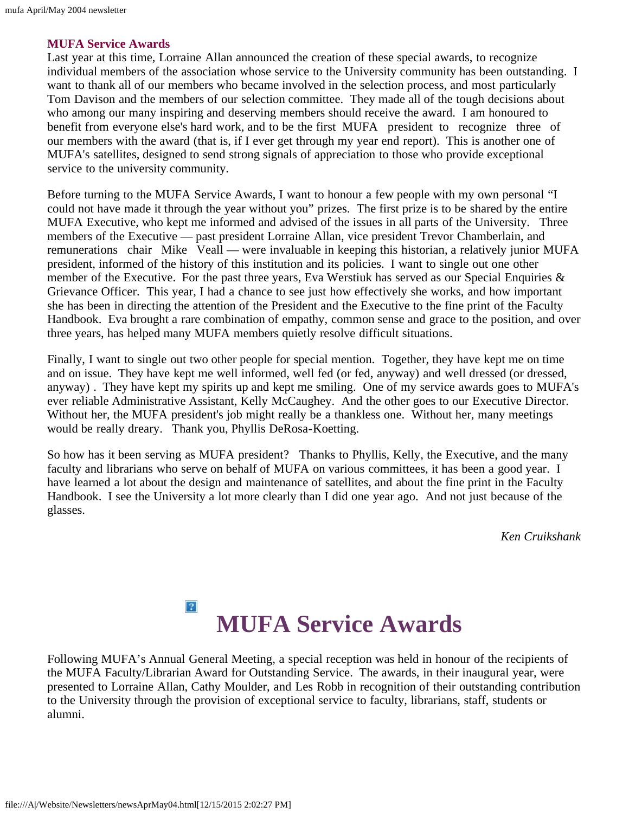### **MUFA Service Awards**

Last year at this time, Lorraine Allan announced the creation of these special awards, to recognize individual members of the association whose service to the University community has been outstanding. I want to thank all of our members who became involved in the selection process, and most particularly Tom Davison and the members of our selection committee. They made all of the tough decisions about who among our many inspiring and deserving members should receive the award. I am honoured to benefit from everyone else's hard work, and to be the first MUFA president to recognize three of our members with the award (that is, if I ever get through my year end report). This is another one of MUFA's satellites, designed to send strong signals of appreciation to those who provide exceptional service to the university community.

Before turning to the MUFA Service Awards, I want to honour a few people with my own personal "I could not have made it through the year without you" prizes. The first prize is to be shared by the entire MUFA Executive, who kept me informed and advised of the issues in all parts of the University. Three members of the Executive — past president Lorraine Allan, vice president Trevor Chamberlain, and remunerations chair Mike Veall — were invaluable in keeping this historian, a relatively junior MUFA president, informed of the history of this institution and its policies. I want to single out one other member of the Executive. For the past three years, Eva Werstiuk has served as our Special Enquiries  $\&$ Grievance Officer. This year, I had a chance to see just how effectively she works, and how important she has been in directing the attention of the President and the Executive to the fine print of the Faculty Handbook. Eva brought a rare combination of empathy, common sense and grace to the position, and over three years, has helped many MUFA members quietly resolve difficult situations.

Finally, I want to single out two other people for special mention. Together, they have kept me on time and on issue. They have kept me well informed, well fed (or fed, anyway) and well dressed (or dressed, anyway) . They have kept my spirits up and kept me smiling. One of my service awards goes to MUFA's ever reliable Administrative Assistant, Kelly McCaughey. And the other goes to our Executive Director. Without her, the MUFA president's job might really be a thankless one. Without her, many meetings would be really dreary. Thank you, Phyllis DeRosa-Koetting.

So how has it been serving as MUFA president? Thanks to Phyllis, Kelly, the Executive, and the many faculty and librarians who serve on behalf of MUFA on various committees, it has been a good year. I have learned a lot about the design and maintenance of satellites, and about the fine print in the Faculty Handbook. I see the University a lot more clearly than I did one year ago. And not just because of the glasses.

*Ken Cruikshank*

### $\overline{?}$ **MUFA Service Awards**

<span id="page-3-0"></span>Following MUFA's Annual General Meeting, a special reception was held in honour of the recipients of the MUFA Faculty/Librarian Award for Outstanding Service. The awards, in their inaugural year, were presented to Lorraine Allan, Cathy Moulder, and Les Robb in recognition of their outstanding contribution to the University through the provision of exceptional service to faculty, librarians, staff, students or alumni.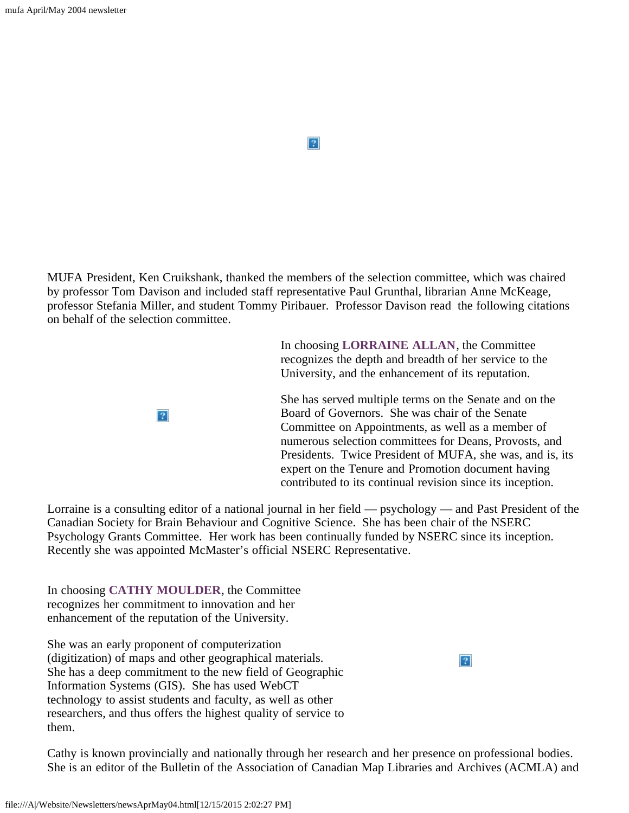$|2|$ 

MUFA President, Ken Cruikshank, thanked the members of the selection committee, which was chaired by professor Tom Davison and included staff representative Paul Grunthal, librarian Anne McKeage, professor Stefania Miller, and student Tommy Piribauer. Professor Davison read the following citations on behalf of the selection committee.

> In choosing **LORRAINE ALLAN**, the Committee recognizes the depth and breadth of her service to the University, and the enhancement of its reputation.

She has served multiple terms on the Senate and on the Board of Governors. She was chair of the Senate Committee on Appointments, as well as a member of numerous selection committees for Deans, Provosts, and Presidents. Twice President of MUFA, she was, and is, its expert on the Tenure and Promotion document having contributed to its continual revision since its inception.

 $\boldsymbol{?}$ 

Lorraine is a consulting editor of a national journal in her field — psychology — and Past President of the Canadian Society for Brain Behaviour and Cognitive Science. She has been chair of the NSERC Psychology Grants Committee. Her work has been continually funded by NSERC since its inception. Recently she was appointed McMaster's official NSERC Representative.

In choosing **CATHY MOULDER**, the Committee recognizes her commitment to innovation and her enhancement of the reputation of the University.

 $|2|$ 

She was an early proponent of computerization (digitization) of maps and other geographical materials. She has a deep commitment to the new field of Geographic Information Systems (GIS). She has used WebCT technology to assist students and faculty, as well as other researchers, and thus offers the highest quality of service to them.

Cathy is known provincially and nationally through her research and her presence on professional bodies. She is an editor of the Bulletin of the Association of Canadian Map Libraries and Archives (ACMLA) and

file:///A|/Website/Newsletters/newsAprMay04.html[12/15/2015 2:02:27 PM]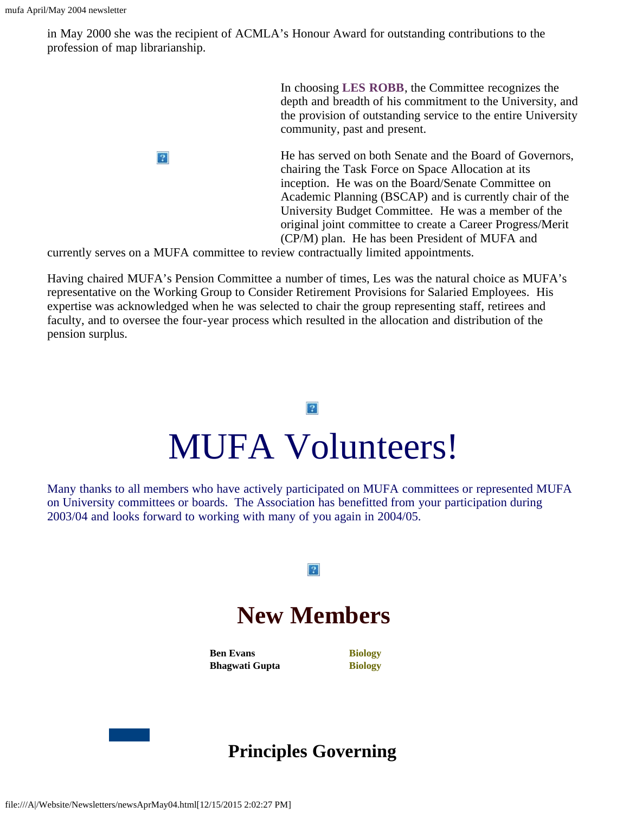in May 2000 she was the recipient of ACMLA's Honour Award for outstanding contributions to the profession of map librarianship.

> In choosing **LES ROBB**, the Committee recognizes the depth and breadth of his commitment to the University, and the provision of outstanding service to the entire University community, past and present.

He has served on both Senate and the Board of Governors, chairing the Task Force on Space Allocation at its inception. He was on the Board/Senate Committee on Academic Planning (BSCAP) and is currently chair of the University Budget Committee. He was a member of the original joint committee to create a Career Progress/Merit (CP/M) plan. He has been President of MUFA and

currently serves on a MUFA committee to review contractually limited appointments.

 $|2|$ 

Having chaired MUFA's Pension Committee a number of times, Les was the natural choice as MUFA's representative on the Working Group to Consider Retirement Provisions for Salaried Employees. His expertise was acknowledged when he was selected to chair the group representing staff, retirees and faculty, and to oversee the four-year process which resulted in the allocation and distribution of the pension surplus.

# $|2|$ MUFA Volunteers!

<span id="page-5-1"></span>Many thanks to all members who have actively participated on MUFA committees or represented MUFA on University committees or boards. The Association has benefitted from your participation during 2003/04 and looks forward to working with many of you again in 2004/05.

### $|2|$

## **New Members**

**Ben Evans Bhagwati Gupta** **Biology Biology**

<span id="page-5-0"></span>

### **Principles Governing**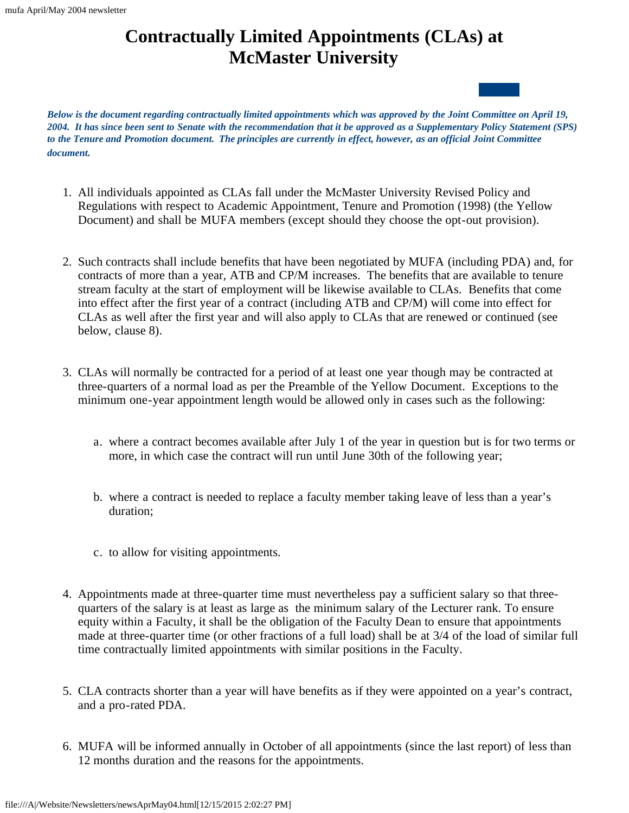### **Contractually Limited Appointments (CLAs) at McMaster University**

*Below is the document regarding contractually limited appointments which was approved by the Joint Committee on April 19, 2004. It has since been sent to Senate with the recommendation that it be approved as a Supplementary Policy Statement (SPS) to the Tenure and Promotion document. The principles are currently in effect, however, as an official Joint Committee document.*

- 1. All individuals appointed as CLAs fall under the McMaster University Revised Policy and Regulations with respect to Academic Appointment, Tenure and Promotion (1998) (the Yellow Document) and shall be MUFA members (except should they choose the opt-out provision).
- 2. Such contracts shall include benefits that have been negotiated by MUFA (including PDA) and, for contracts of more than a year, ATB and CP/M increases. The benefits that are available to tenure stream faculty at the start of employment will be likewise available to CLAs. Benefits that come into effect after the first year of a contract (including ATB and CP/M) will come into effect for CLAs as well after the first year and will also apply to CLAs that are renewed or continued (see below, clause 8).
- 3. CLAs will normally be contracted for a period of at least one year though may be contracted at three-quarters of a normal load as per the Preamble of the Yellow Document. Exceptions to the minimum one-year appointment length would be allowed only in cases such as the following:
	- a. where a contract becomes available after July 1 of the year in question but is for two terms or more, in which case the contract will run until June 30th of the following year;
	- b. where a contract is needed to replace a faculty member taking leave of less than a year's duration;
	- c. to allow for visiting appointments.
- 4. Appointments made at three-quarter time must nevertheless pay a sufficient salary so that threequarters of the salary is at least as large as the minimum salary of the Lecturer rank. To ensure equity within a Faculty, it shall be the obligation of the Faculty Dean to ensure that appointments made at three-quarter time (or other fractions of a full load) shall be at 3/4 of the load of similar full time contractually limited appointments with similar positions in the Faculty.
- 5. CLA contracts shorter than a year will have benefits as if they were appointed on a year's contract, and a pro-rated PDA.
- 6. MUFA will be informed annually in October of all appointments (since the last report) of less than 12 months duration and the reasons for the appointments.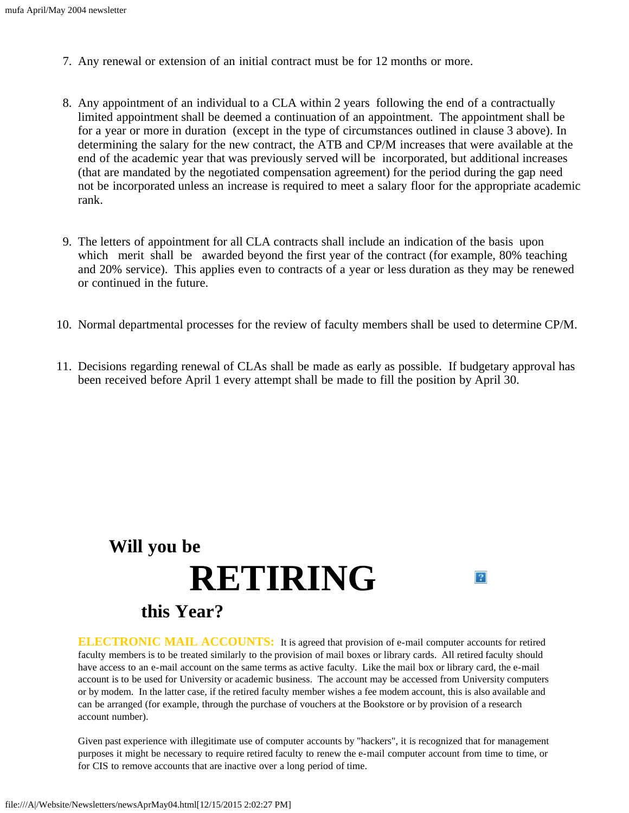- 7. Any renewal or extension of an initial contract must be for 12 months or more.
- 8. Any appointment of an individual to a CLA within 2 years following the end of a contractually limited appointment shall be deemed a continuation of an appointment. The appointment shall be for a year or more in duration (except in the type of circumstances outlined in clause 3 above). In determining the salary for the new contract, the ATB and CP/M increases that were available at the end of the academic year that was previously served will be incorporated, but additional increases (that are mandated by the negotiated compensation agreement) for the period during the gap need not be incorporated unless an increase is required to meet a salary floor for the appropriate academic rank.
- 9. The letters of appointment for all CLA contracts shall include an indication of the basis upon which merit shall be awarded beyond the first year of the contract (for example, 80% teaching and 20% service). This applies even to contracts of a year or less duration as they may be renewed or continued in the future.
- 10. Normal departmental processes for the review of faculty members shall be used to determine CP/M.
- 11. Decisions regarding renewal of CLAs shall be made as early as possible. If budgetary approval has been received before April 1 every attempt shall be made to fill the position by April 30.

## <span id="page-7-0"></span>**Will you be RETIRINGthis Year?**

**ELECTRONIC MAIL ACCOUNTS:** It is agreed that provision of e-mail computer accounts for retired faculty members is to be treated similarly to the provision of mail boxes or library cards. All retired faculty should have access to an e-mail account on the same terms as active faculty. Like the mail box or library card, the e-mail account is to be used for University or academic business. The account may be accessed from University computers or by modem. In the latter case, if the retired faculty member wishes a fee modem account, this is also available and can be arranged (for example, through the purchase of vouchers at the Bookstore or by provision of a research account number).

 $|2|$ 

Given past experience with illegitimate use of computer accounts by "hackers", it is recognized that for management purposes it might be necessary to require retired faculty to renew the e-mail computer account from time to time, or for CIS to remove accounts that are inactive over a long period of time.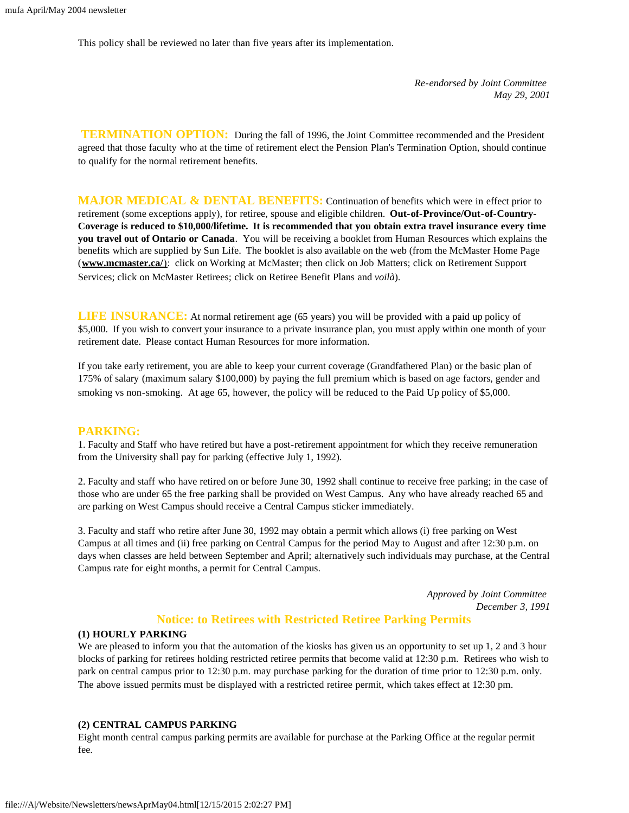This policy shall be reviewed no later than five years after its implementation.

*Re-endorsed by Joint Committee May 29, 2001*

**TERMINATION OPTION:** During the fall of 1996, the Joint Committee recommended and the President agreed that those faculty who at the time of retirement elect the Pension Plan's Termination Option, should continue to qualify for the normal retirement benefits.

**MAJOR MEDICAL & DENTAL BENEFITS:** Continuation of benefits which were in effect prior to retirement (some exceptions apply), for retiree, spouse and eligible children. **Out-of-Province/Out-of-Country-Coverage is reduced to \$10,000/lifetime. It is recommended that you obtain extra travel insurance every time you travel out of Ontario or Canada**. You will be receiving a booklet from Human Resources which explains the benefits which are supplied by Sun Life. The booklet is also available on the web (from the McMaster Home Page (**[www.mcmaster.ca/](http://www.mcmaster.ca/home.cfm)**[\)](http://www.mcmaster.ca/home.cfm): click on Working at McMaster; then click on Job Matters; click on Retirement Support Services; click on McMaster Retirees; click on Retiree Benefit Plans and *voilà*).

**LIFE INSURANCE:** At normal retirement age (65 years) you will be provided with a paid up policy of \$5,000. If you wish to convert your insurance to a private insurance plan, you must apply within one month of your retirement date. Please contact Human Resources for more information.

If you take early retirement, you are able to keep your current coverage (Grandfathered Plan) or the basic plan of 175% of salary (maximum salary \$100,000) by paying the full premium which is based on age factors, gender and smoking vs non-smoking. At age 65, however, the policy will be reduced to the Paid Up policy of \$5,000.

#### **PARKING:**

1. Faculty and Staff who have retired but have a post-retirement appointment for which they receive remuneration from the University shall pay for parking (effective July 1, 1992).

2. Faculty and staff who have retired on or before June 30, 1992 shall continue to receive free parking; in the case of those who are under 65 the free parking shall be provided on West Campus. Any who have already reached 65 and are parking on West Campus should receive a Central Campus sticker immediately.

3. Faculty and staff who retire after June 30, 1992 may obtain a permit which allows (i) free parking on West Campus at all times and (ii) free parking on Central Campus for the period May to August and after 12:30 p.m. on days when classes are held between September and April; alternatively such individuals may purchase, at the Central Campus rate for eight months, a permit for Central Campus.

> *Approved by Joint Committee December 3, 1991*

### **Notice: to Retirees with Restricted Retiree Parking Permits**

#### **(1) HOURLY PARKING**

We are pleased to inform you that the automation of the kiosks has given us an opportunity to set up 1, 2 and 3 hour blocks of parking for retirees holding restricted retiree permits that become valid at 12:30 p.m. Retirees who wish to park on central campus prior to 12:30 p.m. may purchase parking for the duration of time prior to 12:30 p.m. only. The above issued permits must be displayed with a restricted retiree permit, which takes effect at 12:30 pm.

#### **(2) CENTRAL CAMPUS PARKING**

Eight month central campus parking permits are available for purchase at the Parking Office at the regular permit fee.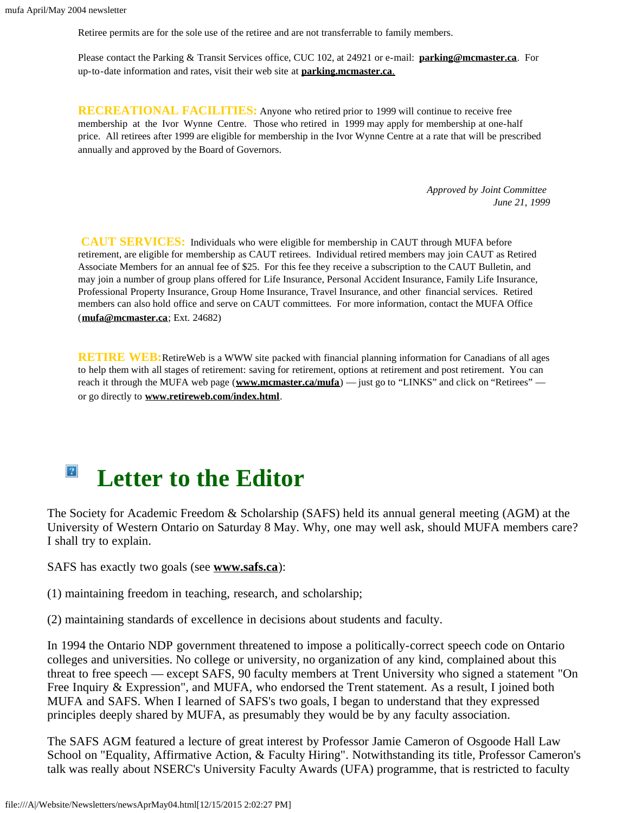Retiree permits are for the sole use of the retiree and are not transferrable to family members.

Please contact the Parking & Transit Services office, CUC 102, at 24921 or e-mail: **[parking@mcmaster.ca](mailto:parking@mcmaster.ca)**. For up-to-date information and rates, visit their web site at **[parking.mcmaster.ca](http://parking.mcmaster.ca/)**[.](http://parking.mcmaster.ca/)

**RECREATIONAL FACILITIES:** Anyone who retired prior to 1999 will continue to receive free membership at the Ivor Wynne Centre. Those who retired in 1999 may apply for membership at one-half price. All retirees after 1999 are eligible for membership in the Ivor Wynne Centre at a rate that will be prescribed annually and approved by the Board of Governors.

> *Approved by Joint Committee June 21, 1999*

**CAUT SERVICES:** Individuals who were eligible for membership in CAUT through MUFA before retirement, are eligible for membership as CAUT retirees. Individual retired members may join CAUT as Retired Associate Members for an annual fee of \$25. For this fee they receive a subscription to the CAUT Bulletin, and may join a number of group plans offered for Life Insurance, Personal Accident Insurance, Family Life Insurance, Professional Property Insurance, Group Home Insurance, Travel Insurance, and other financial services. Retired members can also hold office and serve on CAUT committees. For more information, contact the MUFA Office (**[mufa@mcmaster.ca](mailto:mufa@mcmaster.ca)**; Ext. 24682)

**RETIRE WEB:**RetireWeb is a WWW site packed with financial planning information for Canadians of all ages to help them with all stages of retirement: saving for retirement, options at retirement and post retirement. You can reach it through the MUFA web page (**[www.mcmaster.ca/mufa](http://www.mcmaster.ca/mufa)**) — just go to "LINKS" and click on "Retirees" or go directly to **[www.retireweb.com/index.html](http://www.retireweb.com/index.html)**.

### $\vert$  ? **Letter to the Editor**

<span id="page-9-0"></span>The Society for Academic Freedom & Scholarship (SAFS) held its annual general meeting (AGM) at the University of Western Ontario on Saturday 8 May. Why, one may well ask, should MUFA members care? I shall try to explain.

SAFS has exactly two goals (see **[www.safs.ca](http://www.safs.ca/)**):

(1) maintaining freedom in teaching, research, and scholarship;

(2) maintaining standards of excellence in decisions about students and faculty.

In 1994 the Ontario NDP government threatened to impose a politically-correct speech code on Ontario colleges and universities. No college or university, no organization of any kind, complained about this threat to free speech — except SAFS, 90 faculty members at Trent University who signed a statement "On Free Inquiry & Expression", and MUFA, who endorsed the Trent statement. As a result, I joined both MUFA and SAFS. When I learned of SAFS's two goals, I began to understand that they expressed principles deeply shared by MUFA, as presumably they would be by any faculty association.

The SAFS AGM featured a lecture of great interest by Professor Jamie Cameron of Osgoode Hall Law School on "Equality, Affirmative Action, & Faculty Hiring". Notwithstanding its title, Professor Cameron's talk was really about NSERC's University Faculty Awards (UFA) programme, that is restricted to faculty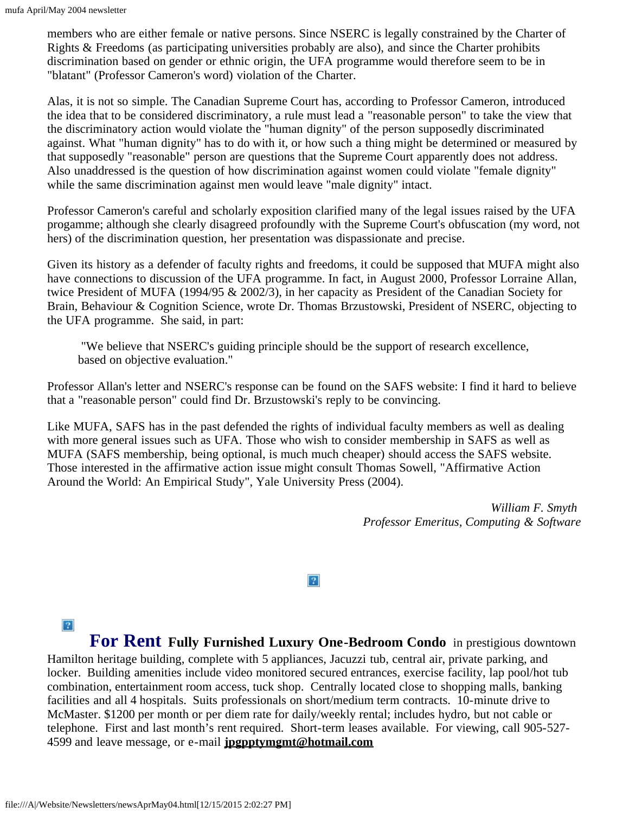members who are either female or native persons. Since NSERC is legally constrained by the Charter of Rights & Freedoms (as participating universities probably are also), and since the Charter prohibits discrimination based on gender or ethnic origin, the UFA programme would therefore seem to be in "blatant" (Professor Cameron's word) violation of the Charter.

Alas, it is not so simple. The Canadian Supreme Court has, according to Professor Cameron, introduced the idea that to be considered discriminatory, a rule must lead a "reasonable person" to take the view that the discriminatory action would violate the "human dignity" of the person supposedly discriminated against. What "human dignity" has to do with it, or how such a thing might be determined or measured by that supposedly "reasonable" person are questions that the Supreme Court apparently does not address. Also unaddressed is the question of how discrimination against women could violate "female dignity" while the same discrimination against men would leave "male dignity" intact.

Professor Cameron's careful and scholarly exposition clarified many of the legal issues raised by the UFA progamme; although she clearly disagreed profoundly with the Supreme Court's obfuscation (my word, not hers) of the discrimination question, her presentation was dispassionate and precise.

Given its history as a defender of faculty rights and freedoms, it could be supposed that MUFA might also have connections to discussion of the UFA programme. In fact, in August 2000, Professor Lorraine Allan, twice President of MUFA (1994/95 & 2002/3), in her capacity as President of the Canadian Society for Brain, Behaviour & Cognition Science, wrote Dr. Thomas Brzustowski, President of NSERC, objecting to the UFA programme. She said, in part:

"We believe that NSERC's guiding principle should be the support of research excellence, based on objective evaluation."

Professor Allan's letter and NSERC's response can be found on the SAFS website: I find it hard to believe that a "reasonable person" could find Dr. Brzustowski's reply to be convincing.

Like MUFA, SAFS has in the past defended the rights of individual faculty members as well as dealing with more general issues such as UFA. Those who wish to consider membership in SAFS as well as MUFA (SAFS membership, being optional, is much much cheaper) should access the SAFS website. Those interested in the affirmative action issue might consult Thomas Sowell, "Affirmative Action Around the World: An Empirical Study", Yale University Press (2004).

> *William F. Smyth Professor Emeritus, Computing & Software*

### $|2|$

 $\vert$  3.

<span id="page-10-0"></span>**For Rent Fully Furnished Luxury One-Bedroom Condo** in prestigious downtown Hamilton heritage building, complete with 5 appliances, Jacuzzi tub, central air, private parking, and locker. Building amenities include video monitored secured entrances, exercise facility, lap pool/hot tub combination, entertainment room access, tuck shop. Centrally located close to shopping malls, banking facilities and all 4 hospitals. Suits professionals on short/medium term contracts. 10-minute drive to McMaster. \$1200 per month or per diem rate for daily/weekly rental; includes hydro, but not cable or telephone. First and last month's rent required. Short-term leases available. For viewing, call 905-527- 4599 and leave message, or e-mail **[jpgpptymgmt@hotmail.com](mailto:jpgpptymgmt@hotmail.com)**